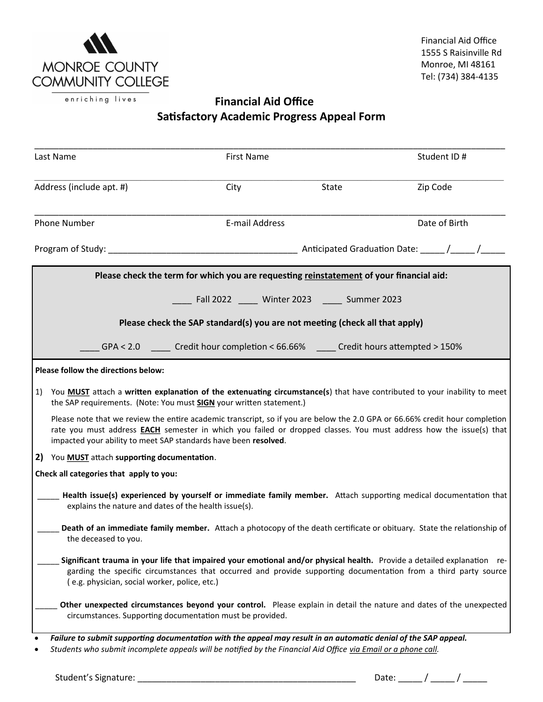

## enriching lives **Financial Aid Office Satisfactory Academic Progress Appeal Form**

|                                                                             | Last Name                                                                                                                                                                                                                                                                                                                   | <b>First Name</b>                                                                       |       | Student ID#                                                                                                                                                                                                                                |  |  |  |  |
|-----------------------------------------------------------------------------|-----------------------------------------------------------------------------------------------------------------------------------------------------------------------------------------------------------------------------------------------------------------------------------------------------------------------------|-----------------------------------------------------------------------------------------|-------|--------------------------------------------------------------------------------------------------------------------------------------------------------------------------------------------------------------------------------------------|--|--|--|--|
| Address (include apt. #)                                                    |                                                                                                                                                                                                                                                                                                                             | City                                                                                    | State | Zip Code                                                                                                                                                                                                                                   |  |  |  |  |
| <b>Phone Number</b>                                                         |                                                                                                                                                                                                                                                                                                                             | E-mail Address                                                                          |       | Date of Birth                                                                                                                                                                                                                              |  |  |  |  |
|                                                                             |                                                                                                                                                                                                                                                                                                                             |                                                                                         |       |                                                                                                                                                                                                                                            |  |  |  |  |
|                                                                             |                                                                                                                                                                                                                                                                                                                             | Please check the term for which you are requesting reinstatement of your financial aid: |       |                                                                                                                                                                                                                                            |  |  |  |  |
| ___ Fall 2022 _____ Winter 2023 _____ Summer 2023                           |                                                                                                                                                                                                                                                                                                                             |                                                                                         |       |                                                                                                                                                                                                                                            |  |  |  |  |
| Please check the SAP standard(s) you are not meeting (check all that apply) |                                                                                                                                                                                                                                                                                                                             |                                                                                         |       |                                                                                                                                                                                                                                            |  |  |  |  |
|                                                                             |                                                                                                                                                                                                                                                                                                                             | GPA < 2.0 Credit hour completion < 66.66% Credit hours attempted > 150%                 |       |                                                                                                                                                                                                                                            |  |  |  |  |
|                                                                             | Please follow the directions below:                                                                                                                                                                                                                                                                                         |                                                                                         |       |                                                                                                                                                                                                                                            |  |  |  |  |
| 1)                                                                          | You <b>MUST</b> attach a written explanation of the extenuating circumstance(s) that have contributed to your inability to meet<br>the SAP requirements. (Note: You must <b>SIGN</b> your written statement.)                                                                                                               |                                                                                         |       |                                                                                                                                                                                                                                            |  |  |  |  |
|                                                                             | Please note that we review the entire academic transcript, so if you are below the 2.0 GPA or 66.66% credit hour completion<br>rate you must address <b>EACH</b> semester in which you failed or dropped classes. You must address how the issue(s) that<br>impacted your ability to meet SAP standards have been resolved. |                                                                                         |       |                                                                                                                                                                                                                                            |  |  |  |  |
| 2)                                                                          | You MUST attach supporting documentation.                                                                                                                                                                                                                                                                                   |                                                                                         |       |                                                                                                                                                                                                                                            |  |  |  |  |
|                                                                             | Check all categories that apply to you:                                                                                                                                                                                                                                                                                     |                                                                                         |       |                                                                                                                                                                                                                                            |  |  |  |  |
|                                                                             | explains the nature and dates of the health issue(s).                                                                                                                                                                                                                                                                       |                                                                                         |       | Health issue(s) experienced by yourself or immediate family member. Attach supporting medical documentation that                                                                                                                           |  |  |  |  |
|                                                                             | the deceased to you.                                                                                                                                                                                                                                                                                                        |                                                                                         |       | Death of an immediate family member. Attach a photocopy of the death certificate or obituary. State the relationship of                                                                                                                    |  |  |  |  |
|                                                                             | (e.g. physician, social worker, police, etc.)                                                                                                                                                                                                                                                                               |                                                                                         |       | Significant trauma in your life that impaired your emotional and/or physical health. Provide a detailed explanation re-<br>garding the specific circumstances that occurred and provide supporting documentation from a third party source |  |  |  |  |
|                                                                             |                                                                                                                                                                                                                                                                                                                             | circumstances. Supporting documentation must be provided.                               |       | Other unexpected circumstances beyond your control. Please explain in detail the nature and dates of the unexpected                                                                                                                        |  |  |  |  |

• *Students who submit incomplete appeals will be notified by the Financial Aid Office via Email or a phone call.*